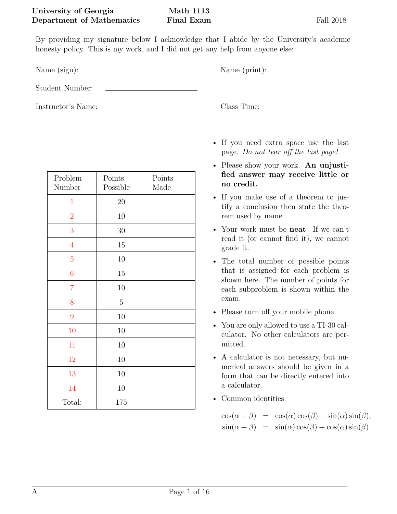By providing my signature below I acknowledge that I abide by the University's academic honesty policy. This is my work, and I did not get any help from anyone else:

Name (sign): Name (print):

Student Number:

Instructor's Name: Class Time:

| Problem<br>Number | Points<br>Possible | Points<br>Made |
|-------------------|--------------------|----------------|
| $\mathbf{1}$      | 20                 |                |
| $\overline{2}$    | 10                 |                |
| 3                 | 30                 |                |
| $\overline{4}$    | 15                 |                |
| $\overline{5}$    | 10                 |                |
| $\overline{6}$    | 15                 |                |
| $\overline{7}$    | 10                 |                |
| 8                 | $\overline{5}$     |                |
| 9                 | 10                 |                |
| 10                | 10                 |                |
| 11                | 10                 |                |
| 12                | 10                 |                |
| 13                | 10                 |                |
| 14                | 10                 |                |
| Total:            | 175                |                |

- If you need extra space use the last page. *Do not tear off the last page!*
- Please show your work. **An unjustified answer may receive little or no credit.**
- If you make use of a theorem to justify a conclusion then state the theorem used by name.
- Your work must be **neat**. If we can't read it (or cannot find it), we cannot grade it.
- The total number of possible points that is assigned for each problem is shown here. The number of points for each subproblem is shown within the exam.
- Please turn off your mobile phone.
- You are only allowed to use a TI-30 calculator. No other calculators are permitted.
- A calculator is not necessary, but numerical answers should be given in a form that can be directly entered into a calculator.
- Common identities:

 $\cos(\alpha + \beta) = \cos(\alpha)\cos(\beta) - \sin(\alpha)\sin(\beta),$  $\sin(\alpha + \beta) = \sin(\alpha)\cos(\beta) + \cos(\alpha)\sin(\beta).$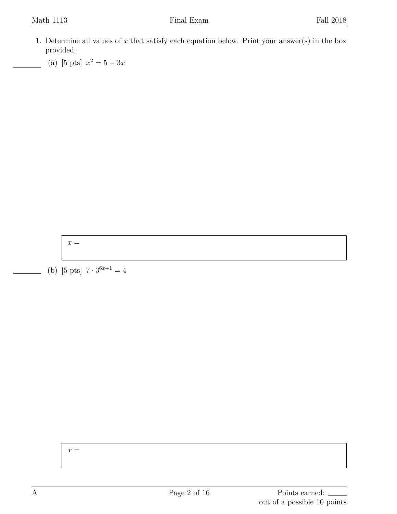- <span id="page-1-0"></span>1. Determine all values of *x* that satisfy each equation below. Print your answer(s) in the box provided.
	- (a) [5 pts]  $x^2 = 5 3x$

 $x =$ 

(b) [5 pts]  $7 \cdot 3^{6x+1} = 4$ 

 $x =$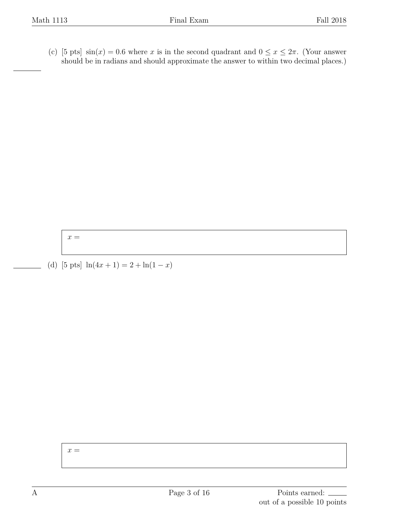(c) [5 pts]  $\sin(x) = 0.6$  where *x* is in the second quadrant and  $0 \le x \le 2\pi$ . (Your answer should be in radians and should approximate the answer to within two decimal places.)

 $x =$ 

(d) [5 pts]  $ln(4x + 1) = 2 + ln(1 - x)$ 

 $x =$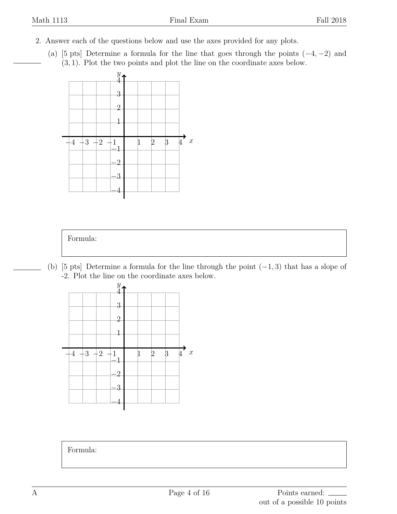- <span id="page-3-0"></span>2. Answer each of the questions below and use the axes provided for any plots.
	- (a) [5 pts] Determine a formula for the line that goes through the points (*−*4*, −*2) and (3*,* 1). Plot the two points and plot the line on the coordinate axes below.





(b) [5 pts] Determine a formula for the line through the point (*−*1*,* 3) that has a slope of -2. Plot the line on the coordinate axes below.



Formula: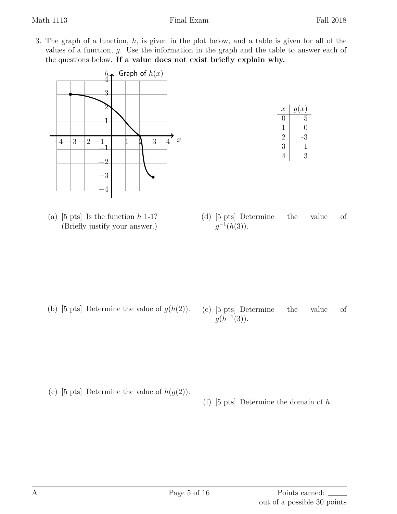<span id="page-4-0"></span>3. The graph of a function, *h*, is given in the plot below, and a table is given for all of the values of a function, *g*. Use the information in the graph and the table to answer each of the questions below. **If a value does not exist briefly explain why.**



(a) [5 pts] Is the function *h* 1-1? (Briefly justify your answer.)

| $\mathcal{X}$ | g(x)         |
|---------------|--------------|
| $\mathcal{O}$ | 5            |
| 1             | 0            |
| 2             | 3            |
| 3             | $\mathbf{I}$ |
|               | 3            |

(d) [5 pts] Determine the value of  $g^{-1}(h(3)).$ 

- (b) [5 pts] Determine the value of  $g(h(2))$ .
- (e) [5 pts] Determine the value of  $g(h^{-1}(3)).$

- (c) [5 pts] Determine the value of  $h(g(2))$ .
- (f) [5 pts] Determine the domain of *h*.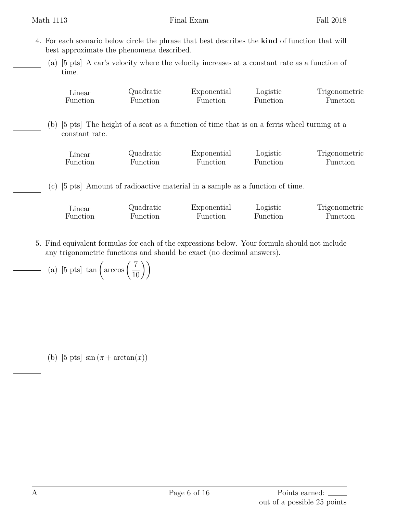Function

- <span id="page-5-0"></span>4. For each scenario below circle the phrase that best describes the **kind** of function that will best approximate the phenomena described.
	- (a) [5 pts] A car's velocity where the velocity increases at a constant rate as a function of time.

| Linear                                                                                        | Quadratic | Exponential | Logistic | Trigonometric |
|-----------------------------------------------------------------------------------------------|-----------|-------------|----------|---------------|
| <b>Function</b>                                                                               | Function  | Function    | Function | Function      |
|                                                                                               |           |             |          |               |
| (b) [5 pts] The height of a seat as a function of time that is on a ferris wheel turning at a |           |             |          |               |

- constant rate. Linear Quadratic Exponential Logistic Trigonometric
- (c) [5 pts] Amount of radioactive material in a sample as a function of time.

Function

| ⊿inear   | Quadratic | Exponential | Logistic | Trigonometric |
|----------|-----------|-------------|----------|---------------|
| Function | Function  | Function    | Function | Function      |

Function

Function

<span id="page-5-1"></span>5. Find equivalent formulas for each of the expressions below. Your formula should not include any trigonometric functions and should be exact (no decimal answers).

(a) [5 pts] 
$$
\tan\left(\arccos\left(\frac{7}{10}\right)\right)
$$

Function

(b) [5 pts]  $\sin (\pi + \arctan(x))$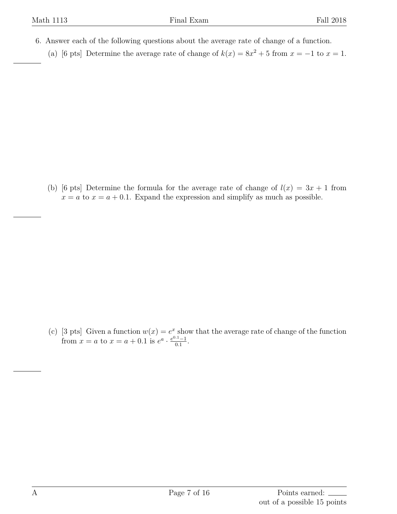- <span id="page-6-0"></span>6. Answer each of the following questions about the average rate of change of a function.
	- (a) [6 pts] Determine the average rate of change of  $k(x) = 8x^2 + 5$  from  $x = -1$  to  $x = 1$ .

(b) [6 pts] Determine the formula for the average rate of change of  $l(x) = 3x + 1$  from  $x = a$  to  $x = a + 0.1$ . Expand the expression and simplify as much as possible.

(c) [3 pts] Given a function  $w(x) = e^x$  show that the average rate of change of the function from  $x = a$  to  $x = a + 0.1$  is  $e^a \cdot \frac{e^{0.1} - 1}{0.1}$ .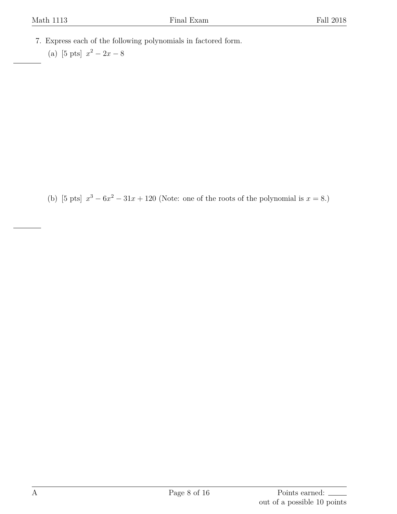- <span id="page-7-0"></span>7. Express each of the following polynomials in factored form.
	- (a) [5 pts]  $x^2 2x 8$

(b) [5 pts]  $x^3 - 6x^2 - 31x + 120$  (Note: one of the roots of the polynomial is  $x = 8$ .)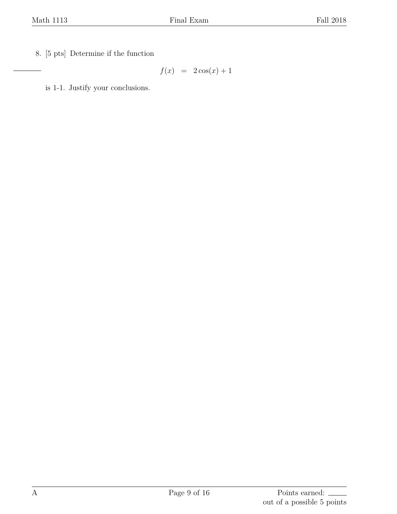<span id="page-8-0"></span>8. [5 pts] Determine if the function

 $f(x) = 2\cos(x) + 1$ 

is 1-1. Justify your conclusions.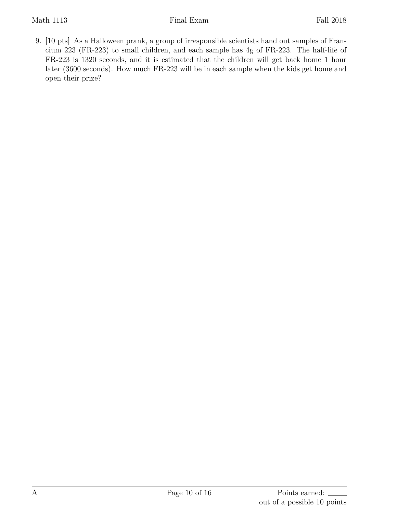<span id="page-9-0"></span>9. [10 pts] As a Halloween prank, a group of irresponsible scientists hand out samples of Francium 223 (FR-223) to small children, and each sample has 4g of FR-223. The half-life of FR-223 is 1320 seconds, and it is estimated that the children will get back home 1 hour later (3600 seconds). How much FR-223 will be in each sample when the kids get home and open their prize?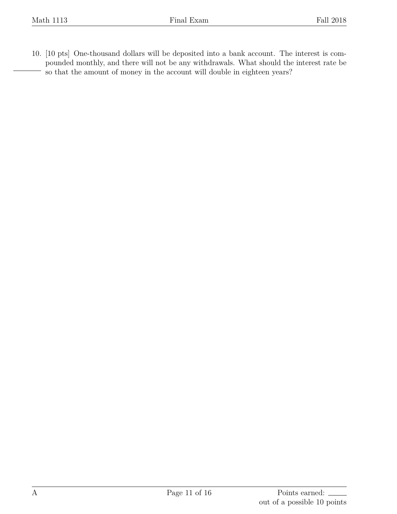<span id="page-10-0"></span>10. [10 pts] One-thousand dollars will be deposited into a bank account. The interest is compounded monthly, and there will not be any withdrawals. What should the interest rate be so that the amount of money in the account will double in eighteen years?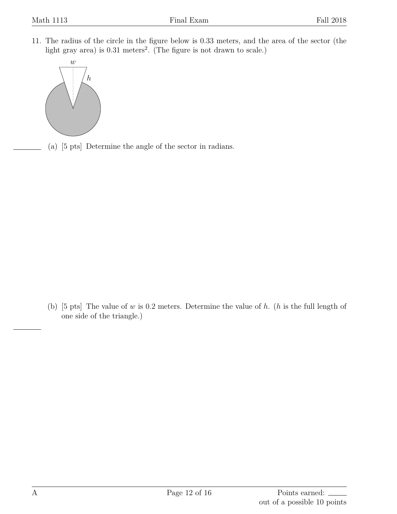<span id="page-11-0"></span>11. The radius of the circle in the figure below is 0*.*33 meters, and the area of the sector (the light gray area) is 0.31 meters<sup>2</sup>. (The figure is not drawn to scale.)



(a) [5 pts] Determine the angle of the sector in radians.

(b) [5 pts] The value of *w* is 0*.*2 meters. Determine the value of *h*. (*h* is the full length of one side of the triangle.)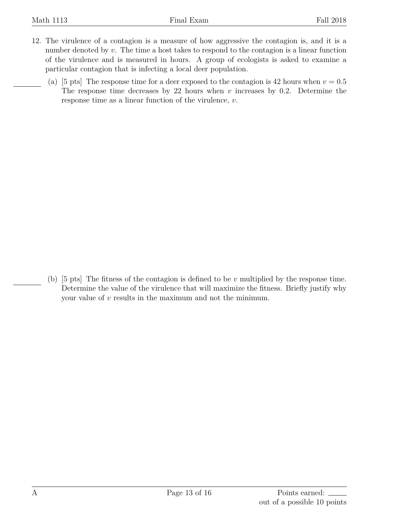- <span id="page-12-0"></span>12. The virulence of a contagion is a measure of how aggressive the contagion is, and it is a number denoted by *v*. The time a host takes to respond to the contagion is a linear function of the virulence and is measured in hours. A group of ecologists is asked to examine a particular contagion that is infecting a local deer population.
	- (a) [5 pts] The response time for a deer exposed to the contagion is 42 hours when  $v = 0.5$ The response time decreases by 22 hours when *v* increases by 0.2. Determine the response time as a linear function of the virulence, *v*.

(b) [5 pts] The fitness of the contagion is defined to be *v* multiplied by the response time. Determine the value of the virulence that will maximize the fitness. Briefly justify why your value of *v* results in the maximum and not the minimum.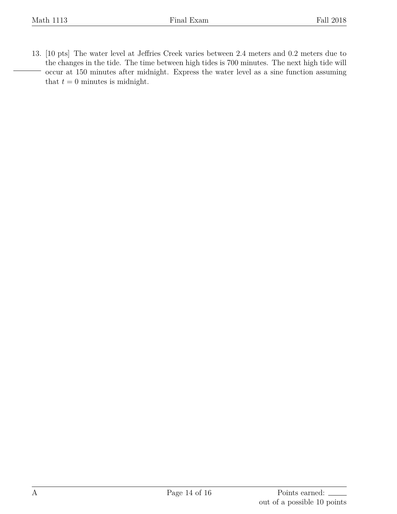<span id="page-13-0"></span>13. [10 pts] The water level at Jeffries Creek varies between 2.4 meters and 0.2 meters due to the changes in the tide. The time between high tides is 700 minutes. The next high tide will occur at 150 minutes after midnight. Express the water level as a sine function assuming that  $t = 0$  minutes is midnight.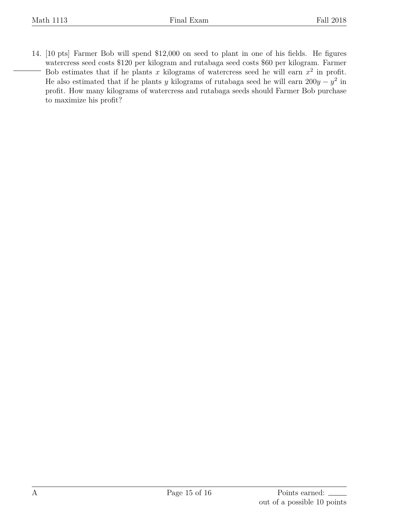<span id="page-14-0"></span>14. [10 pts] Farmer Bob will spend \$12,000 on seed to plant in one of his fields. He figures watercress seed costs \$120 per kilogram and rutabaga seed costs \$60 per kilogram. Farmer Bob estimates that if he plants x kilograms of watercress seed he will earn  $x^2$  in profit. He also estimated that if he plants *y* kilograms of rutabaga seed he will earn  $200y - y^2$  in profit. How many kilograms of watercress and rutabaga seeds should Farmer Bob purchase to maximize his profit?